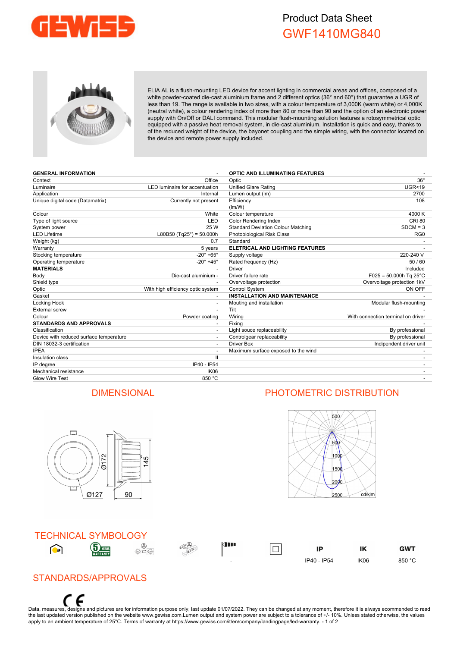

# Product Data Sheet GWF1410MG840



ELIA AL is a flush-mounting LED device for accent lighting in commercial areas and offices, composed of a white powder-coated die-cast aluminium frame and 2 different optics (36° and 60°) that guarantee a UGR of less than 19. The range is available in two sizes, with a colour temperature of 3,000K (warm white) or 4,000K (neutral white), a colour rendering index of more than 80 or more than 90 and the option of an electronic power supply with On/Off or DALI command. This modular flush-mounting solution features a rotosymmetrical optic equipped with a passive heat removal system, in die-cast aluminium. Installation is quick and easy, thanks to of the reduced weight of the device, the bayonet coupling and the simple wiring, with the connector located on the device and remote power supply included.

| <b>GENERAL INFORMATION</b>              |                                    | <b>OPTIC AND ILLUMINATING FEATURES</b>    |                                    |
|-----------------------------------------|------------------------------------|-------------------------------------------|------------------------------------|
| Context                                 | Office                             | Optic                                     | $36^\circ$                         |
| Luminaire                               | LED luminaire for accentuation     | Unified Glare Rating                      | <b>UGR&lt;19</b>                   |
| Application                             | Internal                           | Lumen output (Im)                         | 2700                               |
| Unique digital code (Datamatrix)        | Currently not present              | Efficiency                                | 108                                |
|                                         |                                    | (lm/W)                                    |                                    |
| Colour                                  | White                              | Colour temperature                        | 4000 K                             |
| Type of light source                    | LED                                | <b>Color Rendering Index</b>              | <b>CRI 80</b>                      |
| System power                            | 25 W                               | <b>Standard Deviation Colour Matching</b> | $SDCM = 3$                         |
| <b>LED Lifetime</b>                     | L80B50 (Tg25 $\degree$ ) = 50.000h | Photobiological Risk Class                | RG <sub>0</sub>                    |
| Weight (kg)                             | 0.7                                | Standard                                  |                                    |
| Warranty                                | 5 years                            | <b>ELETRICAL AND LIGHTING FEATURES</b>    |                                    |
| Stocking temperature                    | $-20^\circ + 65^\circ$             | Supply voltage                            | 220-240 V                          |
| Operating temperature                   | $-20^\circ + 45^\circ$             | Rated frequency (Hz)                      | 50/60                              |
| <b>MATERIALS</b>                        |                                    | Driver                                    | Included                           |
| Body                                    | Die-cast aluminium -               | Driver failure rate                       | $F025 = 50.000h$ Tq 25°C           |
| Shield type                             |                                    | Overvoltage protection                    | Overvoltage protection 1kV         |
| Optic                                   | With high efficiency optic system  | <b>Control System</b>                     | ON OFF                             |
| Gasket                                  | $\overline{\phantom{a}}$           | <b>INSTALLATION AND MAINTENANCE</b>       |                                    |
| Locking Hook                            | $\overline{\phantom{a}}$           | Mouting and installation                  | Modular flush-mounting             |
| <b>External screw</b>                   |                                    | Tilt                                      |                                    |
| Colour                                  | Powder coating                     | Wiring                                    | With connection terminal on driver |
| <b>STANDARDS AND APPROVALS</b>          |                                    | Fixing                                    |                                    |
| Classification                          | $\overline{\phantom{a}}$           | Light souce replaceability                | By professional                    |
| Device with reduced surface temperature |                                    | Controlgear replaceability                | By professional                    |
| DIN 18032-3 certification               | $\overline{\phantom{a}}$           | <b>Driver Box</b>                         | Indipendent driver unit            |
| <b>IPEA</b>                             |                                    | Maximum surface exposed to the wind       |                                    |
| Insulation class                        | $\mathbf{H}$                       |                                           |                                    |
| IP degree                               | IP40 - IP54                        |                                           |                                    |
| Mechanical resistance                   | IK06                               |                                           |                                    |
| Glow Wire Test                          | 850 °C                             |                                           |                                    |



### TECHNICAL SYMBOLOGY  $\bigcirc$







 $\overline{\Box}$ 

### IP IK **GWT** - IP40 - IP54 IK06 850 °C

## STANDARDS/APPROVALS

F Data, measures, designs and pictures are for information purpose only, last update 01/07/2022. They can be changed at any moment, therefore it is always ecommended to read the last updated version published on the website www.gewiss.com.Lumen output and system power are subject to a tolerance of +/- 10%. Unless stated otherwise, the values apply to an ambient temperature of 25°C. Terms of warranty at https://www.gewiss.com/it/en/company/landingpage/led-warranty. - 1 of 2

### DIMENSIONAL PHOTOMETRIC DISTRIBUTION